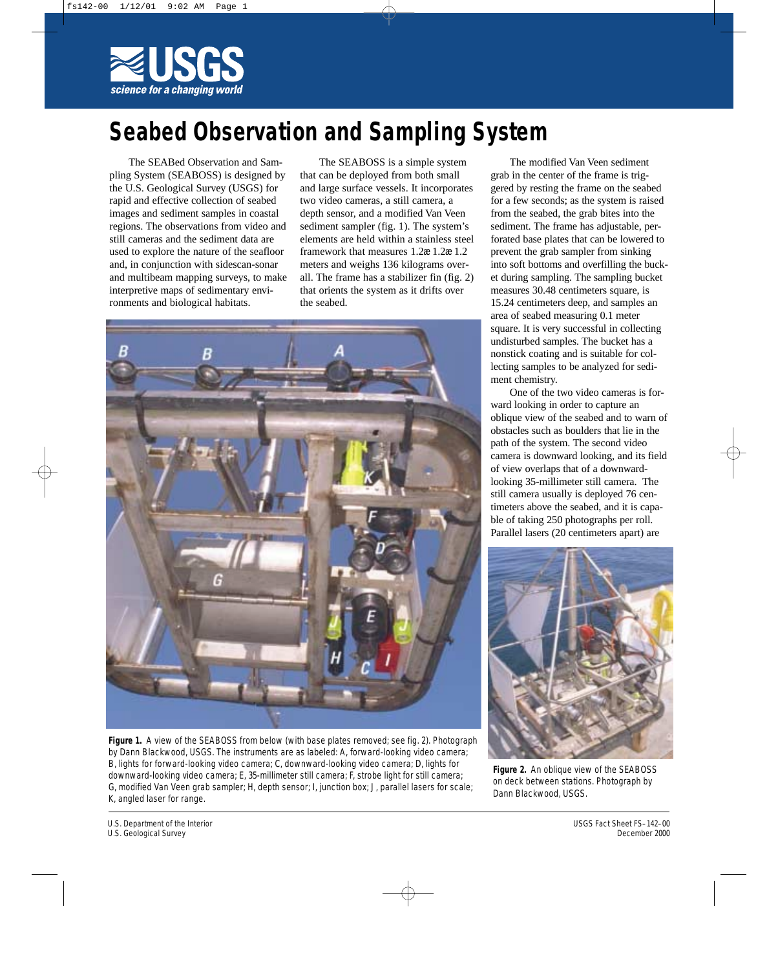

## **Seabed Observation and Sampling System**

The SEABed Observation and Sampling System (SEABOSS) is designed by the U.S. Geological Survey (USGS) for rapid and effective collection of seabed images and sediment samples in coastal regions. The observations from video and still cameras and the sediment data are used to explore the nature of the seafloor and, in conjunction with sidescan-sonar and multibeam mapping surveys, to make interpretive maps of sedimentary environments and biological habitats.

The SEABOSS is a simple system that can be deployed from both small and large surface vessels. It incorporates two video cameras, a still camera, a depth sensor, and a modified Van Veen sediment sampler (fig. 1). The system's elements are held within a stainless steel framework that measures 1.2æ 1.2æ 1.2 meters and weighs 136 kilograms overall. The frame has a stabilizer fin (fig. 2) that orients the system as it drifts over the seabed.



**Figure 1.** A view of the SEABOSS from below (with base plates removed; see fig. 2). Photograph by Dann Blackwood, USGS. The instruments are as labeled: A, forward-looking video camera; B, lights for forward-looking video camera; C, downward-looking video camera; D, lights for downward-looking video camera; E, 35-millimeter still camera; F, strobe light for still camera; G, modified Van Veen grab sampler; H, depth sensor; I, junction box; J, parallel lasers for scale; K, angled laser for range.

The modified Van Veen sediment grab in the center of the frame is triggered by resting the frame on the seabed for a few seconds; as the system is raised from the seabed, the grab bites into the sediment. The frame has adjustable, perforated base plates that can be lowered to prevent the grab sampler from sinking into soft bottoms and overfilling the bucket during sampling. The sampling bucket measures 30.48 centimeters square, is 15.24 centimeters deep, and samples an area of seabed measuring 0.1 meter square. It is very successful in collecting undisturbed samples. The bucket has a nonstick coating and is suitable for collecting samples to be analyzed for sediment chemistry.

One of the two video cameras is forward looking in order to capture an oblique view of the seabed and to warn of obstacles such as boulders that lie in the path of the system. The second video camera is downward looking, and its field of view overlaps that of a downwardlooking 35-millimeter still camera. The still camera usually is deployed 76 centimeters above the seabed, and it is capable of taking 250 photographs per roll. Parallel lasers (20 centimeters apart) are



**Figure 2.** An oblique view of the SEABOSS on deck between stations. Photograph by Dann Blackwood, USGS.